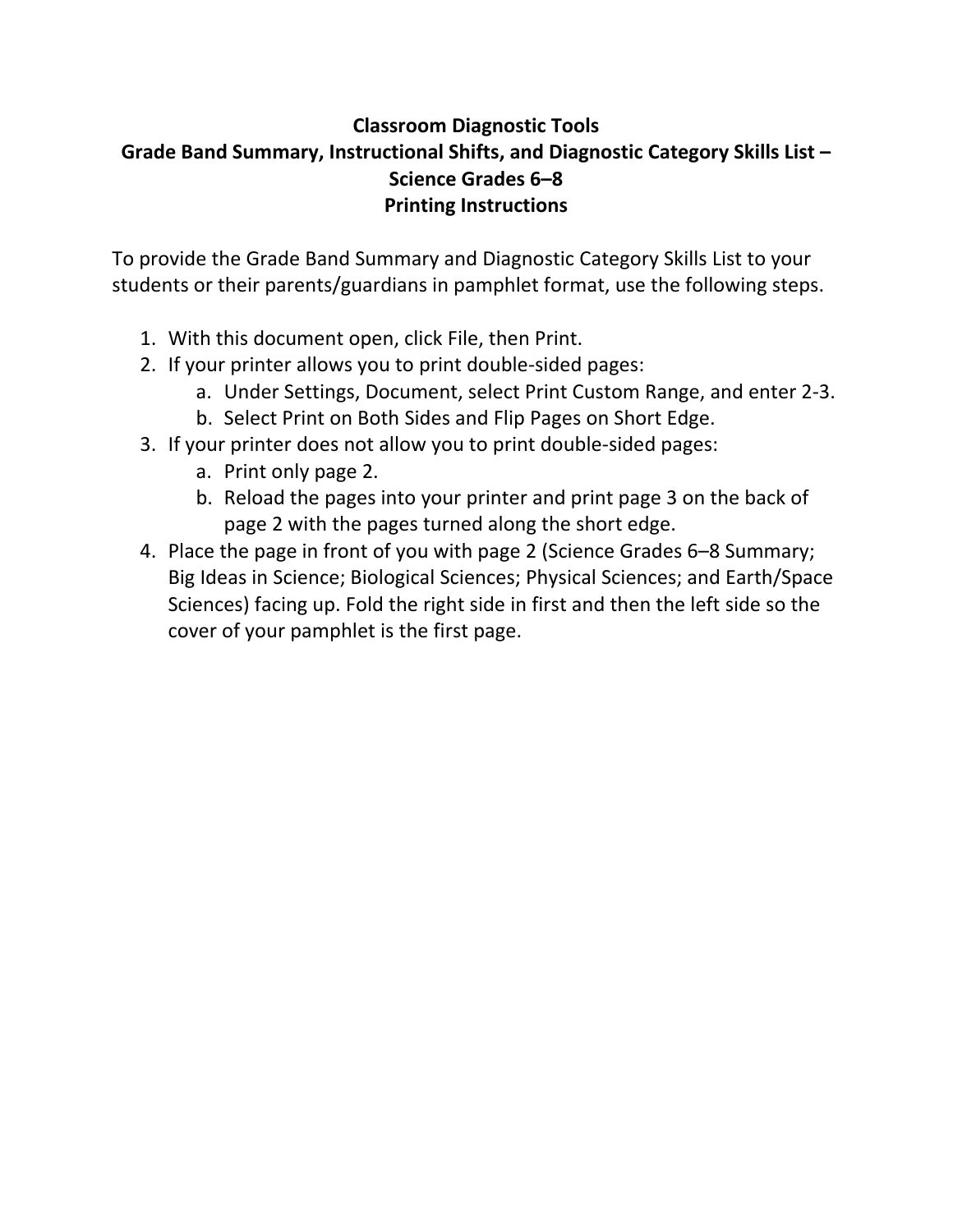# **Classroom Diagnostic Tools Grade Band Summary, Instructional Shifts, and Diagnostic Category Skills List – Science Grades 6–8 Printing Instructions**

To provide the Grade Band Summary and Diagnostic Category Skills List to your students or their parents/guardians in pamphlet format, use the following steps.

- 1. With this document open, click File, then Print.
- 2. If your printer allows you to print double‐sided pages:
	- a. Under Settings, Document, select Print Custom Range, and enter 2‐3.
	- b. Select Print on Both Sides and Flip Pages on Short Edge.
- 3. If your printer does not allow you to print double‐sided pages:
	- a. Print only page 2.
	- b. Reload the pages into your printer and print page 3 on the back of page 2 with the pages turned along the short edge.
- 4. Place the page in front of you with page 2 (Science Grades 6–8 Summary; Big Ideas in Science; Biological Sciences; Physical Sciences; and Earth/Space Sciences) facing up. Fold the right side in first and then the left side so the cover of your pamphlet is the first page.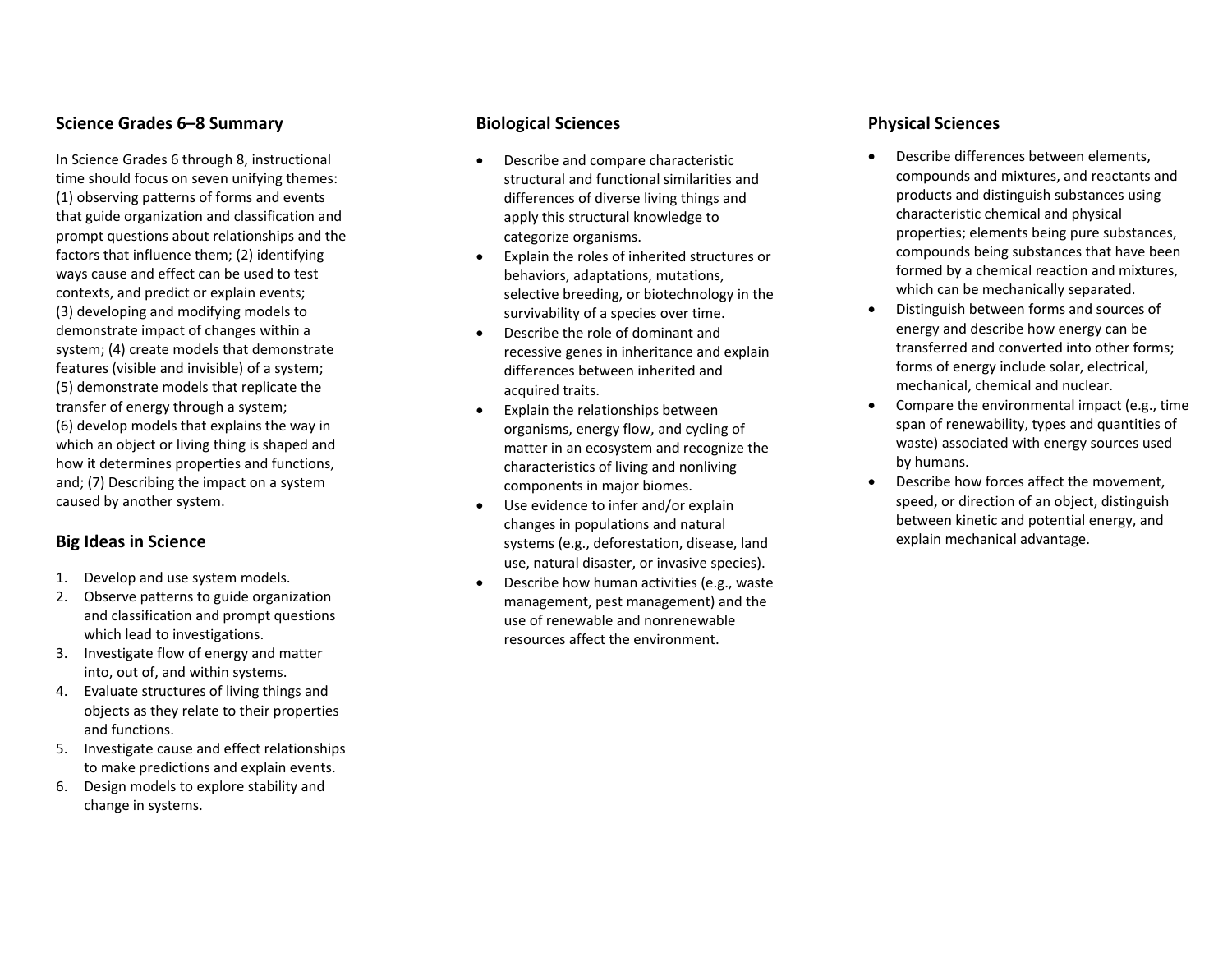#### **Science Grades 6–8 Summary**

In Science Grades 6 through 8, instructional time should focus on seven unifying themes: (1) observing patterns of forms and events that guide organization and classification and prompt questions about relationships and the factors that influence them; (2) identifying ways cause and effect can be used to test contexts, and predict or explain events; (3) developing and modifying models to demonstrate impact of changes within <sup>a</sup> system; (4) create models that demonstrate features (visible and invisible) of <sup>a</sup> system; (5) demonstrate models that replicate the transfer of energy through <sup>a</sup> system; (6) develop models that explains the way in which an object or living thing is shaped and how it determines properties and functions, and; (7) Describing the impact on <sup>a</sup> system caused by another system.

#### **Big Ideas in Science**

- 1. Develop and use system models.
- 2. Observe patterns to guide organization and classification and prompt questions which lead to investigations.
- 3. Investigate flow of energy and matter into, out of, and within systems.
- 4. Evaluate structures of living things and objects as they relate to their properties and functions.
- 5. Investigate cause and effect relationships to make predictions and explain events.
- 6. Design models to explore stability and change in systems.

#### **Biological Sciences**

- c Describe and compare characteristic structural and functional similarities and differences of diverse living things and apply this structural knowledge to categorize organisms.
- $\bullet$  Explain the roles of inherited structures or behaviors, adaptations, mutations, selective breeding, or biotechnology in the survivability of <sup>a</sup> species over time.
- $\bullet$  Describe the role of dominant andrecessive genes in inheritance and explain differences between inherited and acquired traits.
- $\bullet$  Explain the relationships between organisms, energy flow, and cycling of matter in an ecosystem and recognize the characteristics of living and nonliving components in major biomes.
- $\bullet$  Use evidence to infer and/or explain changes in populations and natural systems (e.g., deforestation, disease, land use, natural disaster, or invasive species).
- $\bullet$  Describe how human activities (e.g., waste management, pest management) and the use of renewable and nonrenewable resources affect the environment.

#### **Physical Sciences**

- c Describe differences between elements, compounds and mixtures, and reactants and products and distinguish substances using characteristic chemical and physical properties; elements being pure substances, compounds being substances that have been formed by <sup>a</sup> chemical reaction and mixtures, which can be mechanically separated.
- 0 Distinguish between forms and sources of energy and describe how energy can be transferred and converted into other forms; forms of energy include solar, electrical, mechanical, chemical and nuclear.
- 0 Compare the environmental impact (e.g., time span of renewability, types and quantities of waste) associated with energy sources used by humans.
- 0 Describe how forces affect the movement, speed, or direction of an object, distinguish between kinetic and potential energy, and explain mechanical advantage.